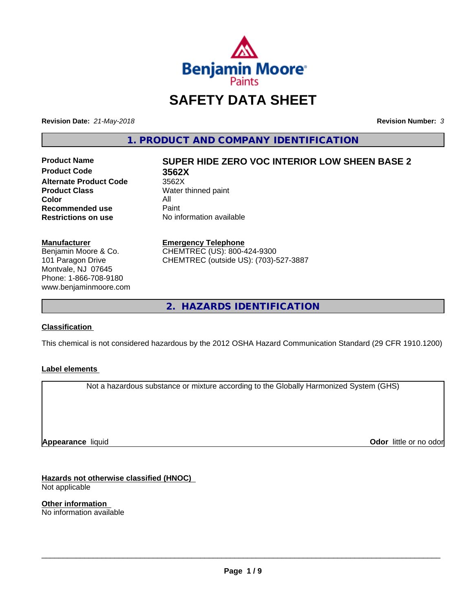

# **SAFETY DATA SHEET**

**Revision Date:** *21-May-2018* **Revision Number:** *3*

**1. PRODUCT AND COMPANY IDENTIFICATION**

**Product Code 3562X Alternate Product Code** 3562X<br> **Product Class** Water **Color** All<br> **Recommended use** Paint **Recommended use**<br>Restrictions on use

# **Product Name SUPER HIDE ZERO VOC INTERIOR LOW SHEEN BASE 2**

**Water thinned paint No information available** 

#### **Manufacturer**

Benjamin Moore & Co. 101 Paragon Drive Montvale, NJ 07645 Phone: 1-866-708-9180 www.benjaminmoore.com

#### **Emergency Telephone**

CHEMTREC (US): 800-424-9300 CHEMTREC (outside US): (703)-527-3887

**2. HAZARDS IDENTIFICATION**

#### **Classification**

This chemical is not considered hazardous by the 2012 OSHA Hazard Communication Standard (29 CFR 1910.1200)

#### **Label elements**

Not a hazardous substance or mixture according to the Globally Harmonized System (GHS)

**Appearance** liquid

**Odor** little or no odor

**Hazards not otherwise classified (HNOC)** Not applicable

**Other information** No information available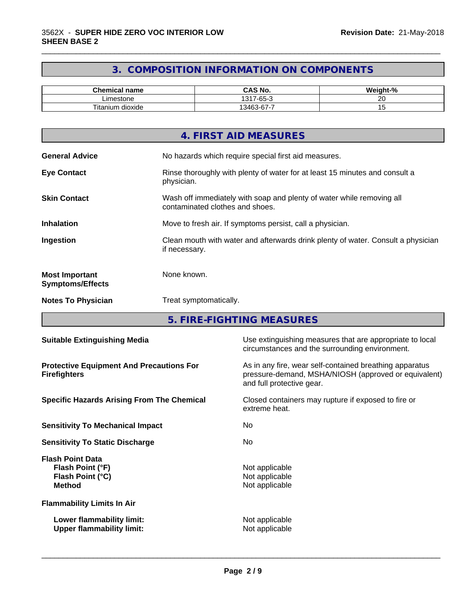# **3. COMPOSITION INFORMATION ON COMPONENTS**

\_\_\_\_\_\_\_\_\_\_\_\_\_\_\_\_\_\_\_\_\_\_\_\_\_\_\_\_\_\_\_\_\_\_\_\_\_\_\_\_\_\_\_\_\_\_\_\_\_\_\_\_\_\_\_\_\_\_\_\_\_\_\_\_\_\_\_\_\_\_\_\_\_\_\_\_\_\_\_\_\_\_\_\_\_\_\_\_\_\_\_\_\_

| Chemical name                       | $\hat{}$ AS No.                                   | $\sim$<br><br>70 |
|-------------------------------------|---------------------------------------------------|------------------|
| Limestone                           | $\sim$<br>131<br>$\overline{\phantom{a}}$<br>-כס- | - -<br>$\sim$    |
| $- \cdot$ .<br>dioxide<br>l itanium | -<br>$\sim$<br>3463<br>. ח-ר<br>, ن               |                  |

|                                                  | 4. FIRST AID MEASURES                                                                                    |
|--------------------------------------------------|----------------------------------------------------------------------------------------------------------|
| <b>General Advice</b>                            | No hazards which require special first aid measures.                                                     |
| <b>Eye Contact</b>                               | Rinse thoroughly with plenty of water for at least 15 minutes and consult a<br>physician.                |
| <b>Skin Contact</b>                              | Wash off immediately with soap and plenty of water while removing all<br>contaminated clothes and shoes. |
| <b>Inhalation</b>                                | Move to fresh air. If symptoms persist, call a physician.                                                |
| Ingestion                                        | Clean mouth with water and afterwards drink plenty of water. Consult a physician<br>if necessary.        |
| <b>Most Important</b><br><b>Symptoms/Effects</b> | None known.                                                                                              |
| <b>Notes To Physician</b>                        | Treat symptomatically.                                                                                   |
|                                                  |                                                                                                          |

**5. FIRE-FIGHTING MEASURES**

| <b>Suitable Extinguishing Media</b>                                              | Use extinguishing measures that are appropriate to local<br>circumstances and the surrounding environment.                                   |
|----------------------------------------------------------------------------------|----------------------------------------------------------------------------------------------------------------------------------------------|
| <b>Protective Equipment And Precautions For</b><br><b>Firefighters</b>           | As in any fire, wear self-contained breathing apparatus<br>pressure-demand, MSHA/NIOSH (approved or equivalent)<br>and full protective gear. |
| <b>Specific Hazards Arising From The Chemical</b>                                | Closed containers may rupture if exposed to fire or<br>extreme heat.                                                                         |
| <b>Sensitivity To Mechanical Impact</b>                                          | No.                                                                                                                                          |
| <b>Sensitivity To Static Discharge</b>                                           | No.                                                                                                                                          |
| <b>Flash Point Data</b><br>Flash Point (°F)<br>Flash Point (°C)<br><b>Method</b> | Not applicable<br>Not applicable<br>Not applicable                                                                                           |
| <b>Flammability Limits In Air</b>                                                |                                                                                                                                              |
| Lower flammability limit:<br><b>Upper flammability limit:</b>                    | Not applicable<br>Not applicable                                                                                                             |
|                                                                                  |                                                                                                                                              |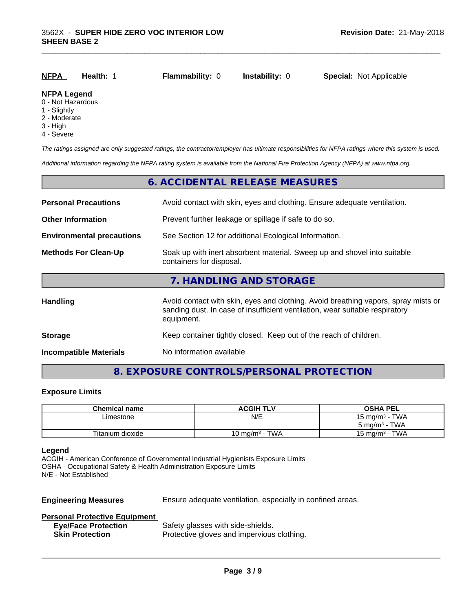| <b>NFPA</b>             | Health: 1 | <b>Flammability: 0</b> | <b>Instability: 0</b> | <b>Special: Not Applicable</b> |
|-------------------------|-----------|------------------------|-----------------------|--------------------------------|
| <b>NFPA Legend</b><br>. |           |                        |                       |                                |

#### 0 - Not Hazardous

- 1 Slightly
- 2 Moderate
- 3 High
- 4 Severe

*The ratings assigned are only suggested ratings, the contractor/employer has ultimate responsibilities for NFPA ratings where this system is used.*

*Additional information regarding the NFPA rating system is available from the National Fire Protection Agency (NFPA) at www.nfpa.org.*

#### **6. ACCIDENTAL RELEASE MEASURES**

| <b>Personal Precautions</b>      | Avoid contact with skin, eyes and clothing. Ensure adequate ventilation.                                                                                                         |  |
|----------------------------------|----------------------------------------------------------------------------------------------------------------------------------------------------------------------------------|--|
| <b>Other Information</b>         | Prevent further leakage or spillage if safe to do so.                                                                                                                            |  |
| <b>Environmental precautions</b> | See Section 12 for additional Ecological Information.                                                                                                                            |  |
| <b>Methods For Clean-Up</b>      | Soak up with inert absorbent material. Sweep up and shovel into suitable<br>containers for disposal.                                                                             |  |
|                                  | 7. HANDLING AND STORAGE                                                                                                                                                          |  |
| Handling                         | Avoid contact with skin, eyes and clothing. Avoid breathing vapors, spray mists or<br>sanding dust. In case of insufficient ventilation, wear suitable respiratory<br>equipment. |  |
| <b>Storage</b>                   | Keep container tightly closed. Keep out of the reach of children.                                                                                                                |  |
| <b>Incompatible Materials</b>    | No information available                                                                                                                                                         |  |

#### **8. EXPOSURE CONTROLS/PERSONAL PROTECTION**

#### **Exposure Limits**

| <b>Chemical name</b> | <b>ACGIH TLV</b>                     | <b>OSHA PEL</b>                   |
|----------------------|--------------------------------------|-----------------------------------|
| ∟imestone            | N/E                                  | 15 mg/m <sup>3</sup> - TWA        |
|                      |                                      | <b>TWA</b><br>ა mg/m <sup>3</sup> |
| Titanium dioxide     | <b>TWA</b><br>10 mg/m <sup>3</sup> - | - TWA<br>$15 \text{ ma/m}^3$      |

#### **Legend**

ACGIH - American Conference of Governmental Industrial Hygienists Exposure Limits OSHA - Occupational Safety & Health Administration Exposure Limits N/E - Not Established

**Engineering Measures** Ensure adequate ventilation, especially in confined areas.

 $\overline{\phantom{a}}$  ,  $\overline{\phantom{a}}$  ,  $\overline{\phantom{a}}$  ,  $\overline{\phantom{a}}$  ,  $\overline{\phantom{a}}$  ,  $\overline{\phantom{a}}$  ,  $\overline{\phantom{a}}$  ,  $\overline{\phantom{a}}$  ,  $\overline{\phantom{a}}$  ,  $\overline{\phantom{a}}$  ,  $\overline{\phantom{a}}$  ,  $\overline{\phantom{a}}$  ,  $\overline{\phantom{a}}$  ,  $\overline{\phantom{a}}$  ,  $\overline{\phantom{a}}$  ,  $\overline{\phantom{a}}$ 

#### **Personal Protective Equipment**

| <b>Eye/Face Protection</b> | Safety glasses with side-shields.          |
|----------------------------|--------------------------------------------|
| <b>Skin Protection</b>     | Protective gloves and impervious clothing. |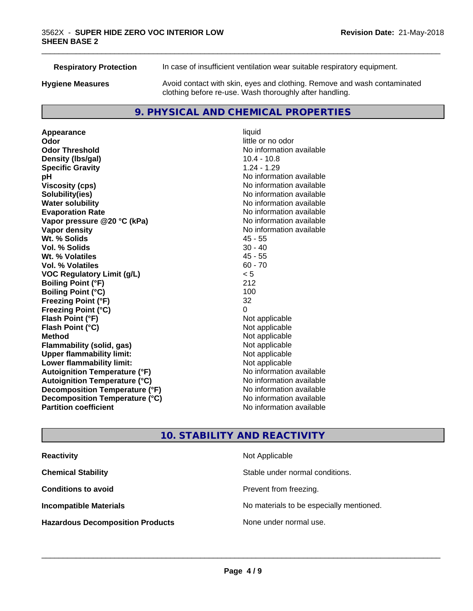**Respiratory Protection** In case of insufficient ventilation wear suitable respiratory equipment. **Hygiene Measures** Avoid contact with skin, eyes and clothing. Remove and wash contaminated clothing before re-use. Wash thoroughly after handling.

### **9. PHYSICAL AND CHEMICAL PROPERTIES**

**Appearance** liquid **Odor** little or no odor **Odor Threshold No information available No information available Density (Ibs/gal)** 10.4 - 10.8 **Specific Gravity** 1.24 - 1.29 **pH** No information available **Viscosity (cps)** No information available **Solubility(ies)** No information available **Evaporation Rate No information available No information available Vapor pressure @20 °C (kPa)** No information available **Vapor density No information available No** information available **Wt. % Solids** 45 - 55 **Vol. % Solids** 30 - 40 **Wt. % Volatiles Vol. % Volatiles** 60 - 70 **VOC Regulatory Limit (g/L)** < 5 **Boiling Point (°F)** 212 **Boiling Point (°C)** 100 **Freezing Point (°F)** 32 **Freezing Point (°C)** 0 **Flash Point (°F)**<br> **Flash Point (°C)**<br> **Flash Point (°C)**<br> **C Flash Point (°C) Method** Not applicable **Flammability (solid, gas)** Not applicable<br> **Upper flammability limit:** Not applicable **Upper flammability limit: Lower flammability limit:** Not applicable **Autoignition Temperature (°F)** No information available **Autoignition Temperature (°C)** No information available **Decomposition Temperature (°F)** No information available **Decomposition Temperature (°C)** No information available **Partition coefficient Contract Contract Contract Contract Contract Contract Contract Contract Contract Contract Contract Contract Contract Contract Contract Contract Contract Contract Contract Contract Contract Contract** 

**No information available** 

\_\_\_\_\_\_\_\_\_\_\_\_\_\_\_\_\_\_\_\_\_\_\_\_\_\_\_\_\_\_\_\_\_\_\_\_\_\_\_\_\_\_\_\_\_\_\_\_\_\_\_\_\_\_\_\_\_\_\_\_\_\_\_\_\_\_\_\_\_\_\_\_\_\_\_\_\_\_\_\_\_\_\_\_\_\_\_\_\_\_\_\_\_

# **10. STABILITY AND REACTIVITY**

| <b>Reactivity</b>                       | Not Applicable                           |
|-----------------------------------------|------------------------------------------|
| <b>Chemical Stability</b>               | Stable under normal conditions.          |
| <b>Conditions to avoid</b>              | Prevent from freezing.                   |
| <b>Incompatible Materials</b>           | No materials to be especially mentioned. |
| <b>Hazardous Decomposition Products</b> | None under normal use.                   |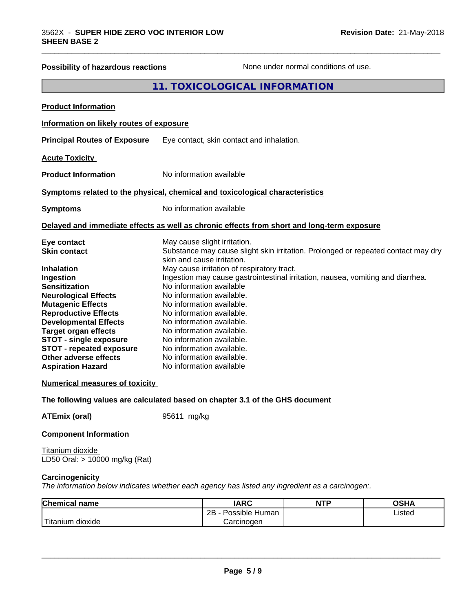| Possibility of hazardous reactions | None under normal conditions of use. |
|------------------------------------|--------------------------------------|
|------------------------------------|--------------------------------------|

\_\_\_\_\_\_\_\_\_\_\_\_\_\_\_\_\_\_\_\_\_\_\_\_\_\_\_\_\_\_\_\_\_\_\_\_\_\_\_\_\_\_\_\_\_\_\_\_\_\_\_\_\_\_\_\_\_\_\_\_\_\_\_\_\_\_\_\_\_\_\_\_\_\_\_\_\_\_\_\_\_\_\_\_\_\_\_\_\_\_\_\_\_

# **11. TOXICOLOGICAL INFORMATION**

| <b>Product Information</b>                                                                                                                                                       |             |                                                                                                                                                                                                                          |                                                                                   |             |
|----------------------------------------------------------------------------------------------------------------------------------------------------------------------------------|-------------|--------------------------------------------------------------------------------------------------------------------------------------------------------------------------------------------------------------------------|-----------------------------------------------------------------------------------|-------------|
| Information on likely routes of exposure                                                                                                                                         |             |                                                                                                                                                                                                                          |                                                                                   |             |
| <b>Principal Routes of Exposure</b>                                                                                                                                              |             | Eye contact, skin contact and inhalation.                                                                                                                                                                                |                                                                                   |             |
| <b>Acute Toxicity</b>                                                                                                                                                            |             |                                                                                                                                                                                                                          |                                                                                   |             |
| <b>Product Information</b>                                                                                                                                                       |             | No information available                                                                                                                                                                                                 |                                                                                   |             |
| Symptoms related to the physical, chemical and toxicological characteristics                                                                                                     |             |                                                                                                                                                                                                                          |                                                                                   |             |
| <b>Symptoms</b>                                                                                                                                                                  |             | No information available                                                                                                                                                                                                 |                                                                                   |             |
| Delayed and immediate effects as well as chronic effects from short and long-term exposure                                                                                       |             |                                                                                                                                                                                                                          |                                                                                   |             |
| Eye contact<br><b>Skin contact</b>                                                                                                                                               |             | May cause slight irritation.                                                                                                                                                                                             | Substance may cause slight skin irritation. Prolonged or repeated contact may dry |             |
| <b>Inhalation</b><br>Ingestion<br><b>Sensitization</b><br><b>Neurological Effects</b><br><b>Mutagenic Effects</b><br><b>Reproductive Effects</b><br><b>Developmental Effects</b> |             | skin and cause irritation.<br>May cause irritation of respiratory tract.<br>No information available<br>No information available.<br>No information available.<br>No information available.<br>No information available. | Ingestion may cause gastrointestinal irritation, nausea, vomiting and diarrhea.   |             |
| <b>Target organ effects</b><br><b>STOT - single exposure</b><br><b>STOT - repeated exposure</b><br>Other adverse effects<br><b>Aspiration Hazard</b>                             |             | No information available.<br>No information available.<br>No information available.<br>No information available.<br>No information available                                                                             |                                                                                   |             |
| <b>Numerical measures of toxicity</b>                                                                                                                                            |             |                                                                                                                                                                                                                          |                                                                                   |             |
| The following values are calculated based on chapter 3.1 of the GHS document                                                                                                     |             |                                                                                                                                                                                                                          |                                                                                   |             |
| <b>ATEmix (oral)</b>                                                                                                                                                             | 95611 mg/kg |                                                                                                                                                                                                                          |                                                                                   |             |
| <b>Component Information</b>                                                                                                                                                     |             |                                                                                                                                                                                                                          |                                                                                   |             |
| Titanium dioxide<br>LD50 Oral: > 10000 mg/kg (Rat)                                                                                                                               |             |                                                                                                                                                                                                                          |                                                                                   |             |
| Carcinogenicity<br>The information below indicates whether each agency has listed any ingredient as a carcinogen:.                                                               |             |                                                                                                                                                                                                                          |                                                                                   |             |
| Chemical name                                                                                                                                                                    |             | <b>IARC</b>                                                                                                                                                                                                              | <b>NTP</b>                                                                        | <b>OSHA</b> |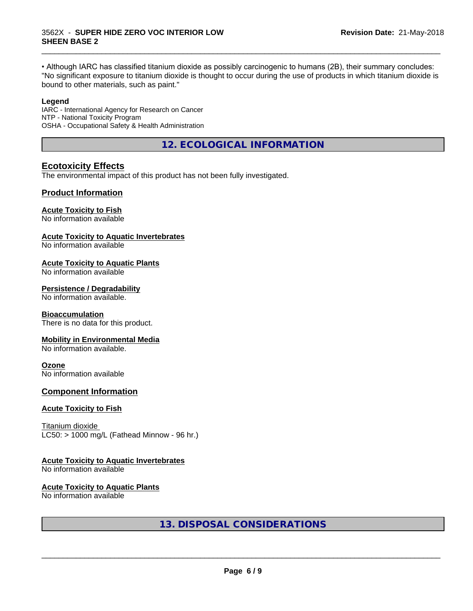• Although IARC has classified titanium dioxide as possibly carcinogenic to humans (2B), their summary concludes: "No significant exposure to titanium dioxide is thought to occur during the use of products in which titanium dioxide is bound to other materials, such as paint."

\_\_\_\_\_\_\_\_\_\_\_\_\_\_\_\_\_\_\_\_\_\_\_\_\_\_\_\_\_\_\_\_\_\_\_\_\_\_\_\_\_\_\_\_\_\_\_\_\_\_\_\_\_\_\_\_\_\_\_\_\_\_\_\_\_\_\_\_\_\_\_\_\_\_\_\_\_\_\_\_\_\_\_\_\_\_\_\_\_\_\_\_\_

#### **Legend**

IARC - International Agency for Research on Cancer NTP - National Toxicity Program OSHA - Occupational Safety & Health Administration

**12. ECOLOGICAL INFORMATION**

#### **Ecotoxicity Effects**

The environmental impact of this product has not been fully investigated.

#### **Product Information**

#### **Acute Toxicity to Fish**

No information available

#### **Acute Toxicity to Aquatic Invertebrates**

No information available

#### **Acute Toxicity to Aquatic Plants**

No information available

#### **Persistence / Degradability**

No information available.

#### **Bioaccumulation**

There is no data for this product.

#### **Mobility in Environmental Media**

No information available.

#### **Ozone**

No information available

#### **Component Information**

#### **Acute Toxicity to Fish**

Titanium dioxide  $LC50:$  > 1000 mg/L (Fathead Minnow - 96 hr.)

#### **Acute Toxicity to Aquatic Invertebrates**

No information available

#### **Acute Toxicity to Aquatic Plants**

No information available

**13. DISPOSAL CONSIDERATIONS**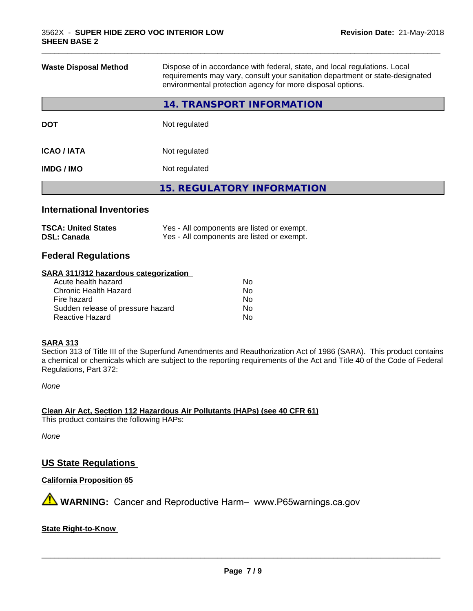| <b>Waste Disposal Method</b> | Dispose of in accordance with federal, state, and local regulations. Local<br>requirements may vary, consult your sanitation department or state-designated<br>environmental protection agency for more disposal options. |
|------------------------------|---------------------------------------------------------------------------------------------------------------------------------------------------------------------------------------------------------------------------|
|                              | 14. TRANSPORT INFORMATION                                                                                                                                                                                                 |
| <b>DOT</b>                   | Not regulated                                                                                                                                                                                                             |
| <b>ICAO / IATA</b>           | Not regulated                                                                                                                                                                                                             |
| <b>IMDG/IMO</b>              | Not regulated                                                                                                                                                                                                             |
|                              | <b>15. REGULATORY INFORMATION</b>                                                                                                                                                                                         |
|                              |                                                                                                                                                                                                                           |

\_\_\_\_\_\_\_\_\_\_\_\_\_\_\_\_\_\_\_\_\_\_\_\_\_\_\_\_\_\_\_\_\_\_\_\_\_\_\_\_\_\_\_\_\_\_\_\_\_\_\_\_\_\_\_\_\_\_\_\_\_\_\_\_\_\_\_\_\_\_\_\_\_\_\_\_\_\_\_\_\_\_\_\_\_\_\_\_\_\_\_\_\_

# **International Inventories**

| <b>TSCA: United States</b> | Yes - All components are listed or exempt. |
|----------------------------|--------------------------------------------|
| <b>DSL: Canada</b>         | Yes - All components are listed or exempt. |

#### **Federal Regulations**

#### **SARA 311/312 hazardous categorization**

| Acute health hazard               | No |
|-----------------------------------|----|
| Chronic Health Hazard             | Nο |
| Fire hazard                       | No |
| Sudden release of pressure hazard | Nο |
| Reactive Hazard                   | Nο |

#### **SARA 313**

Section 313 of Title III of the Superfund Amendments and Reauthorization Act of 1986 (SARA). This product contains a chemical or chemicals which are subject to the reporting requirements of the Act and Title 40 of the Code of Federal Regulations, Part 372:

*None*

**Clean Air Act,Section 112 Hazardous Air Pollutants (HAPs) (see 40 CFR 61)**

This product contains the following HAPs:

*None*

#### **US State Regulations**

**California Proposition 65**

**AVIMARNING:** Cancer and Reproductive Harm– www.P65warnings.ca.gov

#### **State Right-to-Know**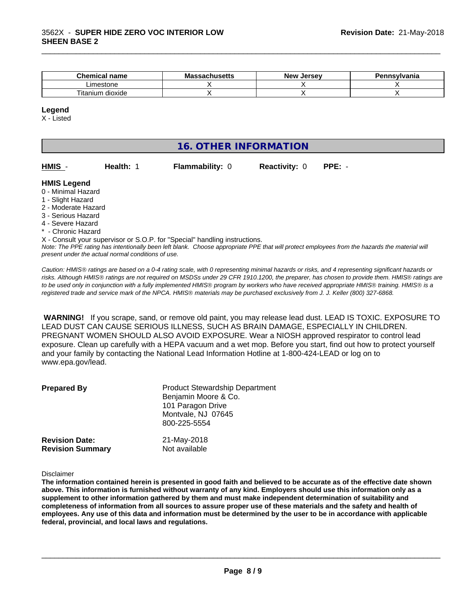| <b>Chamiss</b><br>name<br>emca<br>un | - -<br>M -<br>aunuscus | Jersev<br><b>Nev</b><br>55 | าทรงIvania |
|--------------------------------------|------------------------|----------------------------|------------|
| Limestone                            |                        |                            |            |
| l itanıum<br>dioxide                 |                        |                            |            |

#### **Legend**

X - Listed

# **16. OTHER INFORMATION**

| <b>HMIS</b> |  |
|-------------|--|
|-------------|--|

**Health: 1 Flammability: 0 Reactivity: 0 PPE: -**

\_\_\_\_\_\_\_\_\_\_\_\_\_\_\_\_\_\_\_\_\_\_\_\_\_\_\_\_\_\_\_\_\_\_\_\_\_\_\_\_\_\_\_\_\_\_\_\_\_\_\_\_\_\_\_\_\_\_\_\_\_\_\_\_\_\_\_\_\_\_\_\_\_\_\_\_\_\_\_\_\_\_\_\_\_\_\_\_\_\_\_\_\_

#### **HMIS Legend**

- 0 Minimal Hazard
- 1 Slight Hazard
- 2 Moderate Hazard
- 3 Serious Hazard
- 4 Severe Hazard
- \* Chronic Hazard

X - Consult your supervisor or S.O.P. for "Special" handling instructions.

*Note: The PPE rating has intentionally been left blank. Choose appropriate PPE that will protect employees from the hazards the material will present under the actual normal conditions of use.*

*Caution: HMISÒ ratings are based on a 0-4 rating scale, with 0 representing minimal hazards or risks, and 4 representing significant hazards or risks. Although HMISÒ ratings are not required on MSDSs under 29 CFR 1910.1200, the preparer, has chosen to provide them. HMISÒ ratings are to be used only in conjunction with a fully implemented HMISÒ program by workers who have received appropriate HMISÒ training. HMISÒ is a registered trade and service mark of the NPCA. HMISÒ materials may be purchased exclusively from J. J. Keller (800) 327-6868.*

 **WARNING!** If you scrape, sand, or remove old paint, you may release lead dust. LEAD IS TOXIC. EXPOSURE TO LEAD DUST CAN CAUSE SERIOUS ILLNESS, SUCH AS BRAIN DAMAGE, ESPECIALLY IN CHILDREN. PREGNANT WOMEN SHOULD ALSO AVOID EXPOSURE.Wear a NIOSH approved respirator to control lead exposure. Clean up carefully with a HEPA vacuum and a wet mop. Before you start, find out how to protect yourself and your family by contacting the National Lead Information Hotline at 1-800-424-LEAD or log on to www.epa.gov/lead.

| <b>Prepared By</b>                               | <b>Product Stewardship Department</b><br>Benjamin Moore & Co.<br>101 Paragon Drive<br>Montvale, NJ 07645<br>800-225-5554 |  |
|--------------------------------------------------|--------------------------------------------------------------------------------------------------------------------------|--|
| <b>Revision Date:</b><br><b>Revision Summary</b> | 21-May-2018<br>Not available                                                                                             |  |

Disclaimer

The information contained herein is presented in good faith and believed to be accurate as of the effective date shown above. This information is furnished without warranty of any kind. Employers should use this information only as a **supplement to other information gathered by them and must make independent determination of suitability and** completeness of information from all sources to assure proper use of these materials and the safety and health of employees. Any use of this data and information must be determined by the user to be in accordance with applicable **federal, provincial, and local laws and regulations.**